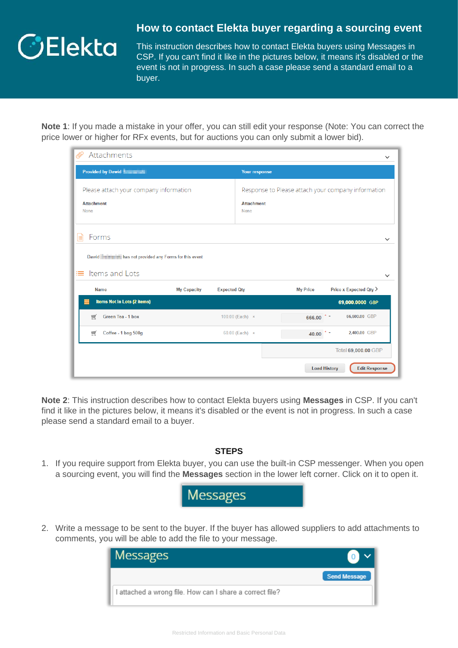

## **How to contact Elekta buyer regarding a sourcing event**

This instruction describes how to contact Elekta buyers using Messages in CSP. If you can't find it like in the pictures below, it means it's disabled or the event is not in progress. In such a case please send a standard email to a buyer.

**Note 1**: If you made a mistake in your offer, you can still edit your response (Note: You can correct the price lower or higher for RFx events, but for auctions you can only submit a lower bid).

| Attachments                                                  |                                        |                     |                           |                                                    |                        | $\check{ }$                 |  |
|--------------------------------------------------------------|----------------------------------------|---------------------|---------------------------|----------------------------------------------------|------------------------|-----------------------------|--|
| Provided by Dawid                                            |                                        |                     | <b>Your response</b>      |                                                    |                        |                             |  |
|                                                              | Please attach your company information |                     |                           | Response to Please attach your company information |                        |                             |  |
| <b>Attachment</b><br>None                                    |                                        |                     | <b>Attachment</b><br>None |                                                    |                        |                             |  |
| Forms                                                        |                                        |                     |                           |                                                    |                        |                             |  |
| Dawid <b>Dawid</b> has not provided any Forms for this event |                                        |                     |                           |                                                    |                        |                             |  |
| $\equiv$ Items and Lots                                      |                                        |                     |                           |                                                    |                        | $\checkmark$                |  |
| <b>Name</b>                                                  | <b>My Capacity</b>                     | <b>Expected Qty</b> |                           | <b>My Price</b>                                    |                        | Price x Expected Qty $\geq$ |  |
| Items Not In Lots (2 items)                                  |                                        |                     |                           |                                                    |                        | 69,000.0000 GBP             |  |
| Green Tea - 1 box<br>W                                       |                                        |                     | 100.00 (Each) x           | 666.00                                             | $z =$                  | 66,600.00 GBP               |  |
| Coffee - 1 bag 500g<br>₩                                     |                                        |                     | 60.00 (Each) x            | 40.00                                              | $\ddot{\phantom{a}}$ = | 2,400.00 GBP                |  |
|                                                              |                                        |                     |                           |                                                    |                        | Total 69,000.00 GBP         |  |
|                                                              |                                        |                     |                           |                                                    | <b>Load History</b>    | <b>Edit Response</b>        |  |

**Note 2**: This instruction describes how to contact Elekta buyers using **Messages** in CSP. If you can't find it like in the pictures below, it means it's disabled or the event is not in progress. In such a case please send a standard email to a buyer.

## **STEPS**

1. If you require support from Elekta buyer, you can use the built-in CSP messenger. When you open a sourcing event, you will find the **Messages** section in the lower left corner. Click on it to open it.



2. Write a message to be sent to the buyer. If the buyer has allowed suppliers to add attachments to comments, you will be able to add the file to your message.